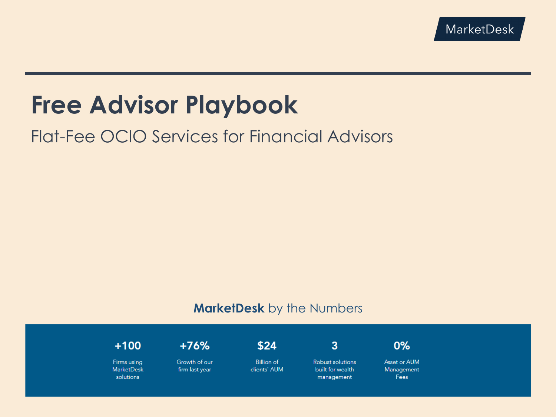# **Free Advisor Playbook**

## Flat-Fee OCIO Services for Financial Advisors

## **MarketDesk** by the Numbers

 $+100$ 

Firms using MarketDesk solutions

Flat-Fee Solutions Built for Financial Advisors

 $+76%$ 

Growth of our firm last year

 $$24$ 

**Billion of** clients' AUM  $\overline{3}$ 

**Robust solutions** built for wealth management



Asset or AUM Management Fees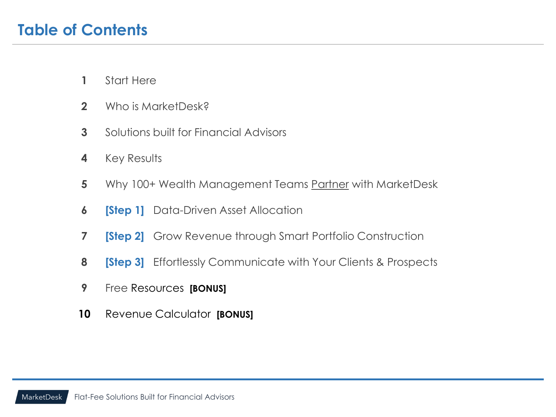- Start Here
- Who is MarketDesk?
- Solutions built for Financial Advisors
- Key Results
- Why 100+ Wealth Management Teams Partner with MarketDesk
- **6 <b>[Step 1]** Data-Driven Asset Allocation
- **[Step 2]** Grow Revenue through Smart Portfolio Construction
- **[Step 3]** Effortlessly Communicate with Your Clients & Prospects
- Free Resources **[BONUS]**
- Revenue Calculator **[BONUS]**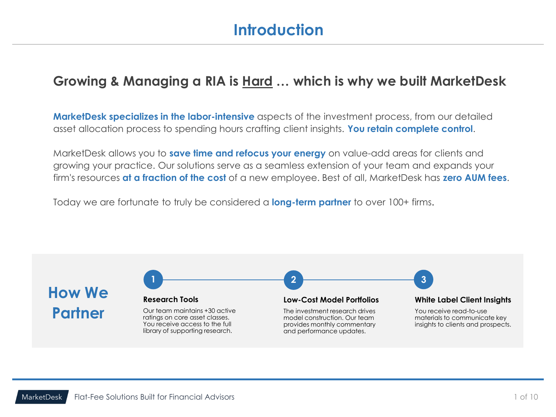## **Introduction**

## **Growing & Managing a RIA is Hard … which is why we built MarketDesk**

**MarketDesk specializes in the labor-intensive** aspects of the investment process, from our detailed asset allocation process to spending hours crafting client insights. **You retain complete control**.

MarketDesk allows you to **save time and refocus your energy** on value-add areas for clients and growing your practice. Our solutions serve as a seamless extension of your team and expands your firm's resources **at a fraction of the cost** of a new employee. Best of all, MarketDesk has **zero AUM fees**.

Today we are fortunate to truly be considered a **long-term partner** to over 100+ firms.

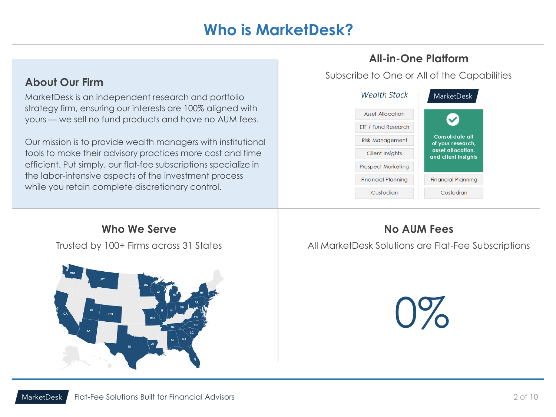## **Who is MarketDesk?**

### **About Our Firm**

MarketDesk is an independent research and portfolio strategy firm, ensuring our interests are 100% aligned with yours — we sell no fund products and have no AUM fees.

Our mission is to provide wealth managers with institutional tools to make their advisory practices more cost and time efficient. Put simply, our flat-fee subscriptions specialize in the labor-intensive aspects of the investment process while you retain complete discretionary control.

### **All-in-One Platform**

Subscribe to One or All of the Capabilities



**Who We Serve** Trusted by 100+ Firms across 31 States



## **No AUM Fees**

All MarketDesk Solutions are Flat-Fee Subscriptions

0%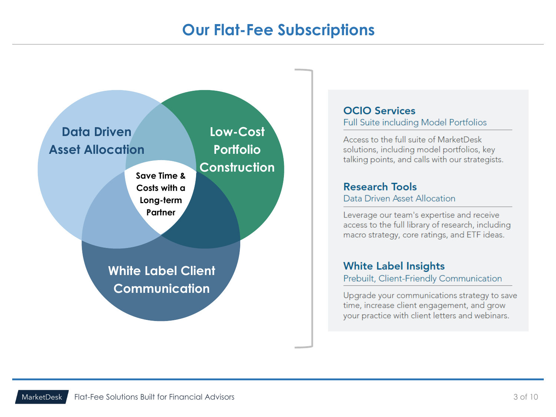## **Our Flat-Fee Subscriptions**



#### **OCIO Services** Full Suite including Model Portfolios

Access to the full suite of MarketDesk solutions, including model portfolios, key talking points, and calls with our strategists.

#### **Research Tools** Data Driven Asset Allocation

Leverage our team's expertise and receive access to the full library of research, including macro strategy, core ratings, and ETF ideas.

### **White Label Insights**

Prebuilt, Client-Friendly Communication

Upgrade your communications strategy to save time, increase client engagement, and grow your practice with client letters and webinars.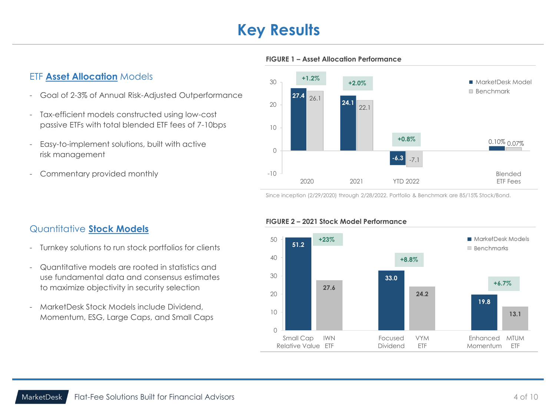## **Key Results**



#### **FIGURE 1 – Asset Allocation Performance**

#### ETF **Asset Allocation** Models

- Goal of 2-3% of Annual Risk-Adjusted Outperformance
- Tax-efficient models constructed using low-cost passive ETFs with total blended ETF fees of 7-10bps
- Easy-to-implement solutions, built with active risk management
- Commentary provided monthly

#### Since inception (2/29/2020) through 2/28/2022. Portfolio & Benchmark are 85/15% Stock/Bond.

#### Quantitative **Stock Models**

- Turnkey solutions to run stock portfolios for clients
- Quantitative models are rooted in statistics and use fundamental data and consensus estimates to maximize objectivity in security selection
- MarketDesk Stock Models include Dividend, Momentum, ESG, Large Caps, and Small Caps

#### **FIGURE 2 – 2021 Stock Model Performance**

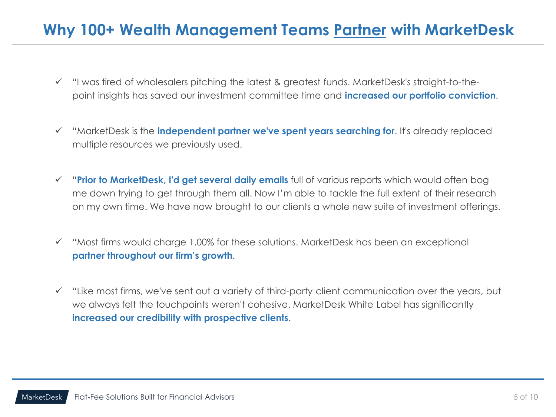## **Why 100+ Wealth Management Teams Partner with MarketDesk**

- ✓ "I was tired of wholesalers pitching the latest & greatest funds. MarketDesk's straight-to-thepoint insights has saved our investment committee time and **increased our portfolio conviction**.
- ✓ "MarketDesk is the **independent partner we've spent years searching for**. It's already replaced multiple resources we previously used.
- ✓ "**Prior to MarketDesk, I'd get several daily emails** full of various reports which would often bog me down trying to get through them all. Now I'm able to tackle the full extent of their research on my own time. We have now brought to our clients a whole new suite of investment offerings.
- ✓ "Most firms would charge 1.00% for these solutions. MarketDesk has been an exceptional **partner throughout our firm's growth**.
- ✓ "Like most firms, we've sent out a variety of third-party client communication over the years, but we always felt the touchpoints weren't cohesive. MarketDesk White Label has significantly **increased our credibility with prospective clients**.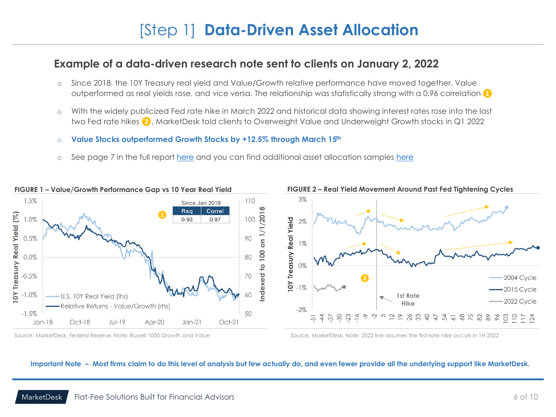## [Step 1] **Data-Driven Asset Allocation**

### **Example of a data-driven research note sent to clients on January 2, 2022**

- o Since 2018, the 10Y Treasury real yield and Value/Growth relative performance have moved together. Value outperformed as real yields rose, and vice versa. The relationship was statistically strong with a 0.96 correlation **❶**
- o With the widely publicized Fed rate hike in March 2022 and historical data showing interest rates rose into the last two Fed rate hikes **❷**, MarketDesk told clients to Overweight Value and Underweight Growth stocks in Q1 2022
- o **Value Stocks outperformed Growth Stocks by +12.5% through March 15th**
- o See page 7 in the full report [here](https://reports.marketdeskresearch.com/hubfs/1-Research/11-AAguide/1Q22AAG-jslihew.pdf) and you can find additional asset allocation samples [here](https://www.marketdeskresearch.com/outsourcedcio)



Source: MarketDesk, Federal Reserve, Note: Russell 1000 Growth and Value Source: Source: MarketDesk, Note: 2022 line assumes the first-rate hike occurs in 1H 2022

#### **Important Note – Most firms claim to do this level of analysis but few actually do, and even fewer provide all the underlying support like MarketDesk.**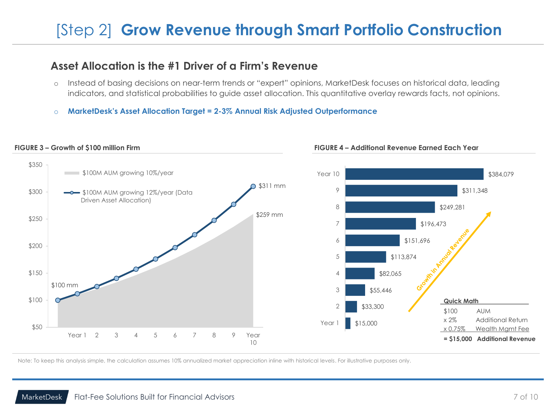## [Step 2] **Grow Revenue through Smart Portfolio Construction**

### **Asset Allocation is the #1 Driver of a Firm's Revenue**

- o Instead of basing decisions on near-term trends or "expert" opinions, MarketDesk focuses on historical data, leading indicators, and statistical probabilities to guide asset allocation. This quantitative overlay rewards facts, not opinions.
- o **MarketDesk's Asset Allocation Target = 2-3% Annual Risk Adjusted Outperformance**



#### **FIGURE 3 – Growth of \$100 million Firm FIGURE 4 – Additional Revenue Earned Each Year**

Note: To keep this analysis simple, the calculation assumes 10% annualized market appreciation inline with historical levels. For illustrative purposes only.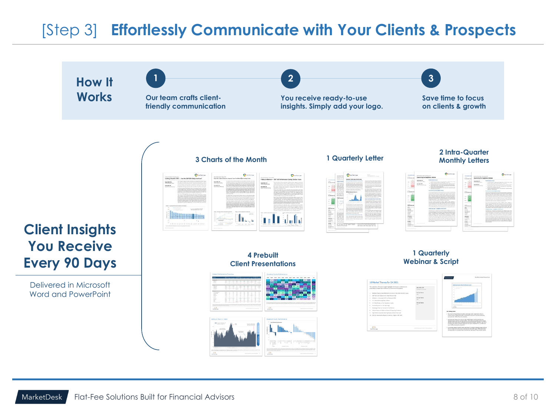## [Step 3] **Effortlessly Communicate with Your Clients & Prospects**

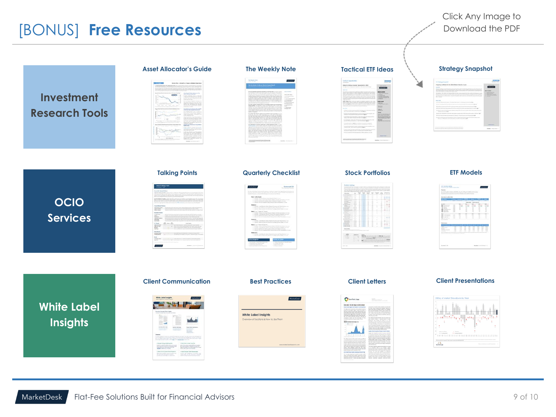## [BONUS] **Free Resources**

| <b>Investment</b><br><b>Research Tools</b> | <b>Asset Allocator's Guide</b> | <b>The Weekly Note</b>                                                                          | <b>Tactical ETF Ideas</b><br><b>SHORN'S</b><br>talisialek<br>Internet | <b>Strategy Snapshot</b><br>L. Shokegy Sman-ko<br>Propoling Particiles for the 3002 Allohos<br>$\equiv$                                                                                                                                                                                                                                                                                                                                        |
|--------------------------------------------|--------------------------------|-------------------------------------------------------------------------------------------------|-----------------------------------------------------------------------|------------------------------------------------------------------------------------------------------------------------------------------------------------------------------------------------------------------------------------------------------------------------------------------------------------------------------------------------------------------------------------------------------------------------------------------------|
| <b>OCIO</b><br><b>Services</b>             | <b>Talking Points</b>          | <b>Quarterly Checklist</b>                                                                      | <b>Stock Portfolios</b><br>22.777                                     | <b>ETF Models</b>                                                                                                                                                                                                                                                                                                                                                                                                                              |
| <b>White Label</b><br>Insights             | <b>Client Communication</b>    | <b>Best Practices</b><br><b>White Label Insights</b><br>Overview of Solutions & How to Use Them | <b>Client Letters</b><br>o.                                           | <b>Client Presentations</b><br>History of Market Drawdowns by Y<br>$\begin{picture}(10,10) \put(0,0){\vector(1,0){10}} \put(10,0){\vector(1,0){10}} \put(10,0){\vector(1,0){10}} \put(10,0){\vector(1,0){10}} \put(10,0){\vector(1,0){10}} \put(10,0){\vector(1,0){10}} \put(10,0){\vector(1,0){10}} \put(10,0){\vector(1,0){10}} \put(10,0){\vector(1,0){10}} \put(10,0){\vector(1,0){10}} \put(10,0){\vector(1,0){10}} \put(10,0){\vector(1$ |

In the state that the control to common the regist of you have been presented and other properties on the control of the state of the state of the state of the state of the state of the state of the state of the state of

 $\begin{tabular}{l|c|c|c|c|c|c|c} \hline $\mathcal{L}$ & $1000$ & $1000$ & $1000$ & $1000$ & $1000$ & $1000$ & $1000$ & $1000$ & $1000$ & $1000$ & $1000$ & $1000$ & $1000$ & $1000$ & $1000$ & $1000$ & $1000$ & $1000$ & $1000$ & $1000$ & $1000$ & $1000$ & $1000$ & $1000$ & $1000$ & $1000$ & $1000$$ 

 $\label{eq:2} \begin{tabular}{l|c|c|c|c|c} \hline $\epsilon$ & peak of the $k$-axis is equal to $n$ & $r$-axis is equal to $n$ & $n$-axis is equal to $n$ & $n$-axis is equal to $n$ & $n$-axis is equal to $n$ & $n$-axis is equal to $n$ & $n$-axis is equal to $n$ & $n$-axis is equal to $n$ & $n$-axis is equal to $n$ & $n$-axis is equal to $n$ & $n$-axis is equal to $n$ & $n$-axis is equal to $n$ & $n$-axis is equal to $n$ & $n$-axis is equal to $n$ & $n$-axis is equal to $n$ & $n$-axis$ 

 $41\%$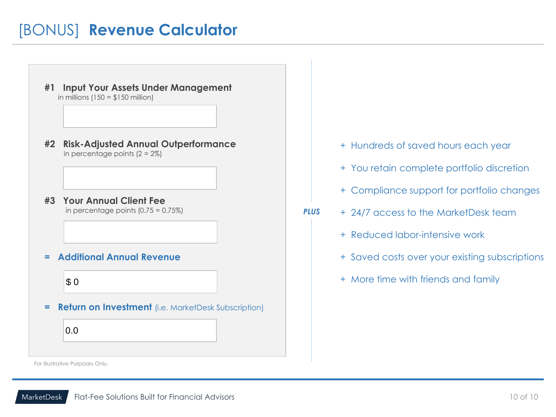## [BONUS] **Revenue Calculator**

- **#1 Input Your Assets Under Management** in millions  $(150 = $150$  million)
- **#2 Risk-Adjusted Annual Outperformance** in percentage points  $(2 = 2\%)$
- **#3 Your Annual Client Fee** in percentage points  $(0.75 = 0.75\%)$
- **= Additional Annual Revenue**

### $\frac{1}{3}0$

**= Return on Investment** (i.e. MarketDesk Subscription)

0.0

- + Hundreds of saved hours each year
- + You retain complete portfolio discretion
- + Compliance support for portfolio changes
- *PLUS* + 24/7 access to the MarketDesk team
	- + Reduced labor-intensive work
	- + Saved costs over your existing subscriptions
	- + More time with friends and family

For Illustrative Purposes Only.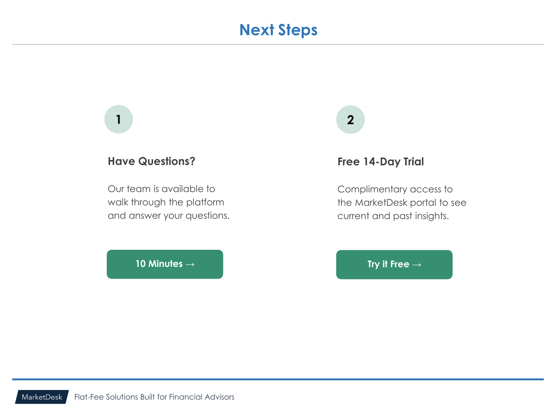## **Next Steps**

## **1 2**

### **Have Questions?**

Our team is available to walk through the platform and answer your questions.

**[10 Minutes →](https://www.marketdeskresearch.com/demo) [Try it Free →](https://www.marketdeskresearch.com/trial)**

#### **Free 14-Day Trial**

Complimentary access to the MarketDesk portal to see current and past insights.

MarketDesk Flat-Fee Solutions Built for Financial Advisors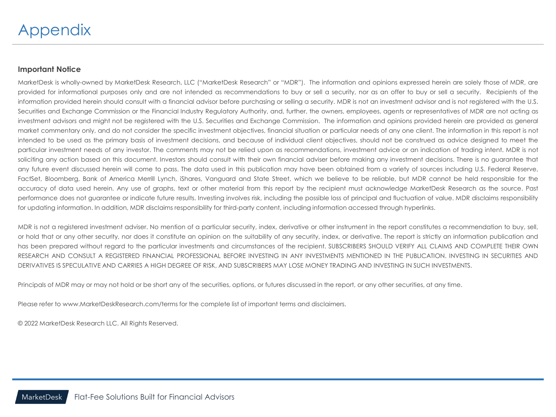#### **Important Notice**

MarketDesk is wholly-owned by MarketDesk Research, LLC ("MarketDesk Research" or "MDR"). The information and opinions expressed herein are solely those of MDR, are provided for informational purposes only and are not intended as recommendations to buy or sell a security, nor as an offer to buy or sell a security. Recipients of the information provided herein should consult with a financial advisor before purchasing or selling a security. MDR is not an investment advisor and is not registered with the U.S. Securities and Exchange Commission or the Financial Industry Regulatory Authority, and, further, the owners, employees, agents or representatives of MDR are not acting as investment advisors and might not be registered with the U.S. Securities and Exchange Commission. The information and opinions provided herein are provided as general market commentary only, and do not consider the specific investment objectives, financial situation or particular needs of any one client. The information in this report is not intended to be used as the primary basis of investment decisions, and because of individual client objectives, should not be construed as advice designed to meet the particular investment needs of any investor. The comments may not be relied upon as recommendations, investment advice or an indication of trading intent. MDR is not soliciting any action based on this document. Investors should consult with their own financial adviser before making any investment decisions. There is no guarantee that any future event discussed herein will come to pass. The data used in this publication may have been obtained from a variety of sources including U.S. Federal Reserve, FactSet, Bloomberg, Bank of America Merrill Lynch, iShares, Vanguard and State Street, which we believe to be reliable, but MDR cannot be held responsible for the accuracy of data used herein. Any use of graphs, text or other material from this report by the recipient must acknowledge MarketDesk Research as the source. Past performance does not guarantee or indicate future results. Investing involves risk, including the possible loss of principal and fluctuation of value. MDR disclaims responsibility for updating information. In addition, MDR disclaims responsibility for third-party content, including information accessed through hyperlinks.

MDR is not a registered investment adviser. No mention of a particular security, index, derivative or other instrument in the report constitutes a recommendation to buy, sell, or hold that or any other security, nor does it constitute an opinion on the suitability of any security, index, or derivative. The report is strictly an information publication and has been prepared without regard to the particular investments and circumstances of the recipient. SUBSCRIBERS SHOULD VERIFY ALL CLAIMS AND COMPLETE THEIR OWN RESEARCH AND CONSULT A REGISTERED FINANCIAL PROFESSIONAL BEFORE INVESTING IN ANY INVESTMENTS MENTIONED IN THE PUBLICATION. INVESTING IN SECURITIES AND DERIVATIVES IS SPECULATIVE AND CARRIES A HIGH DEGREE OF RISK, AND SUBSCRIBERS MAY LOSE MONEY TRADING AND INVESTING IN SUCH INVESTMENTS.

Principals of MDR may or may not hold or be short any of the securities, options, or futures discussed in the report, or any other securities, at any time.

Please refer to www.MarketDeskResearch.com/terms for the complete list of important terms and disclaimers.

© 2022 MarketDesk Research LLC. All Rights Reserved.

Flat-Fee Solutions Built for Financial Advisors MarketDesk